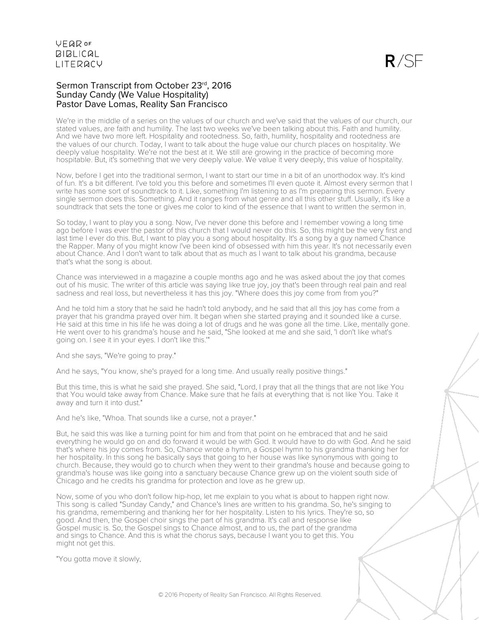#### Sermon Transcript from October 23rd, 2016 Sunday Candy (We Value Hospitality) Pastor Dave Lomas, Reality San Francisco

We're in the middle of a series on the values of our church and we've said that the values of our church, our stated values, are faith and humility. The last two weeks we've been talking about this. Faith and humility. And we have two more left. Hospitality and rootedness. So, faith, humility, hospitality and rootedness are the values of our church. Today, I want to talk about the huge value our church places on hospitality. We deeply value hospitality. We're not the best at it. We still are growing in the practice of becoming more hospitable. But, it's something that we very deeply value. We value it very deeply, this value of hospitality.

Now, before I get into the traditional sermon, I want to start our time in a bit of an unorthodox way. It's kind of fun. It's a bit different. I've told you this before and sometimes I'll even quote it. Almost every sermon that I write has some sort of soundtrack to it. Like, something I'm listening to as I'm preparing this sermon. Every single sermon does this. Something. And it ranges from what genre and all this other stuff. Usually, it's like a soundtrack that sets the tone or gives me color to kind of the essence that I want to written the sermon in.

So today, I want to play you a song. Now, I've never done this before and I remember vowing a long time ago before I was ever the pastor of this church that I would never do this. So, this might be the very first and last time I ever do this. But, I want to play you a song about hospitality. It's a song by a guy named Chance the Rapper. Many of you might know I've been kind of obsessed with him this year. It's not necessarily even about Chance. And I don't want to talk about that as much as I want to talk about his grandma, because that's what the song is about.

Chance was interviewed in a magazine a couple months ago and he was asked about the joy that comes out of his music. The writer of this article was saying like true joy, joy that's been through real pain and real sadness and real loss, but nevertheless it has this joy. "Where does this joy come from from you?"

And he told him a story that he said he hadn't told anybody, and he said that all this joy has come from a prayer that his grandma prayed over him. It began when she started praying and it sounded like a curse. He said at this time in his life he was doing a lot of drugs and he was gone all the time. Like, mentally gone. He went over to his grandma's house and he said, "She looked at me and she said, 'I don't like what's going on. I see it in your eyes. I don't like this.'"

And she says, "We're going to pray."

And he says, "You know, she's prayed for a long time. And usually really positive things."

But this time, this is what he said she prayed. She said, "Lord, I pray that all the things that are not like You that You would take away from Chance. Make sure that he fails at everything that is not like You. Take it away and turn it into dust."

And he's like, "Whoa. That sounds like a curse, not a prayer."

But, he said this was like a turning point for him and from that point on he embraced that and he said everything he would go on and do forward it would be with God. It would have to do with God. And he said that's where his joy comes from. So, Chance wrote a hymn, a Gospel hymn to his grandma thanking her for her hospitality. In this song he basically says that going to her house was like synonymous with going to church. Because, they would go to church when they went to their grandma's house and because going to grandma's house was like going into a sanctuary because Chance grew up on the violent south side of Chicago and he credits his grandma for protection and love as he grew up.

Now, some of you who don't follow hip-hop, let me explain to you what is about to happen right now. This song is called "Sunday Candy," and Chance's lines are written to his grandma. So, he's singing to his grandma, remembering and thanking her for her hospitality. Listen to his lyrics. They're so, so good. And then, the Gospel choir sings the part of his grandma. It's call and response like Gospel music is. So, the Gospel sings to Chance almost, and to us, the part of the grandma and sings to Chance. And this is what the chorus says, because I want you to get this. You might not get this.

"You gotta move it slowly,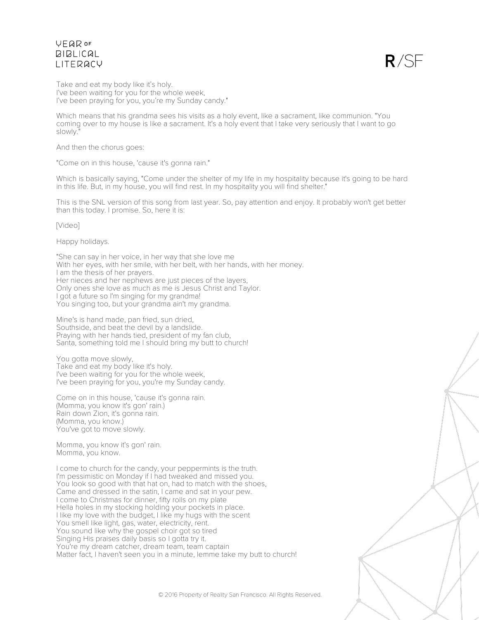

Take and eat my body like it's holy. I've been waiting for you for the whole week, I've been praying for you, you're my Sunday candy."

Which means that his grandma sees his visits as a holy event, like a sacrament, like communion. "You coming over to my house is like a sacrament. It's a holy event that I take very seriously that I want to go slowly.

And then the chorus goes:

"Come on in this house, 'cause it's gonna rain."

Which is basically saying, "Come under the shelter of my life in my hospitality because it's going to be hard in this life. But, in my house, you will find rest. In my hospitality you will find shelter."

This is the SNL version of this song from last year. So, pay attention and enjoy. It probably won't get better than this today. I promise. So, here it is:

[Video]

Happy holidays.

"She can say in her voice, in her way that she love me With her eyes, with her smile, with her belt, with her hands, with her money. I am the thesis of her prayers. Her nieces and her nephews are just pieces of the layers, Only ones she love as much as me is Jesus Christ and Taylor. I got a future so I'm singing for my grandma! You singing too, but your grandma ain't my grandma.

Mine's is hand made, pan fried, sun dried, Southside, and beat the devil by a landslide. Praying with her hands tied, president of my fan club, Santa, something told me I should bring my butt to church!

You gotta move slowly, Take and eat my body like it's holy. I've been waiting for you for the whole week, I've been praying for you, you're my Sunday candy.

Come on in this house, 'cause it's gonna rain. (Momma, you know it's gon' rain.) Rain down Zion, it's gonna rain. (Momma, you know.) You've got to move slowly.

Momma, you know it's gon' rain. Momma, you know.

I come to church for the candy, your peppermints is the truth. I'm pessimistic on Monday if I had tweaked and missed you. You look so good with that hat on, had to match with the shoes, Came and dressed in the satin, I came and sat in your pew. I come to Christmas for dinner, fifty rolls on my plate Hella holes in my stocking holding your pockets in place. I like my love with the budget, I like my hugs with the scent You smell like light, gas, water, electricity, rent. You sound like why the gospel choir got so tired Singing His praises daily basis so I gotta try it. You're my dream catcher, dream team, team captain Matter fact, I haven't seen you in a minute, lemme take my butt to church!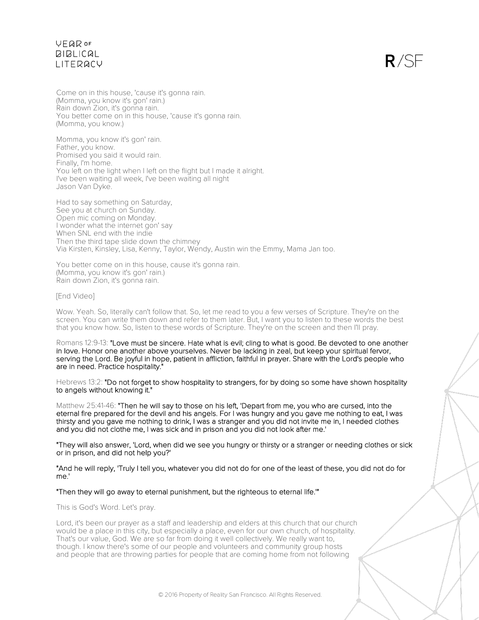$R/SF$ 

Come on in this house, 'cause it's gonna rain. (Momma, you know it's gon' rain.) Rain down Zion, it's gonna rain. You better come on in this house, 'cause it's gonna rain. (Momma, you know.)

Momma, you know it's gon' rain. Father, you know. Promised you said it would rain. Finally, I'm home. You left on the light when I left on the flight but I made it alright. I've been waiting all week, I've been waiting all night Jason Van Dyke.

Had to say something on Saturday, See you at church on Sunday. Open mic coming on Monday. I wonder what the internet gon' say When SNL end with the indie Then the third tape slide down the chimney Via Kirsten, Kinsley, Lisa, Kenny, Taylor, Wendy, Austin win the Emmy, Mama Jan too.

You better come on in this house, cause it's gonna rain. (Momma, you know it's gon' rain.) Rain down Zion, it's gonna rain.

#### [End Video]

Wow. Yeah. So, literally can't follow that. So, let me read to you a few verses of Scripture. They're on the screen. You can write them down and refer to them later. But, I want you to listen to these words the best that you know how. So, listen to these words of Scripture. They're on the screen and then I'll pray.

Romans 12:9-13: "Love must be sincere. Hate what is evil; cling to what is good. Be devoted to one another in love. Honor one another above yourselves. Never be lacking in zeal, but keep your spiritual fervor, serving the Lord. Be joyful in hope, patient in affliction, faithful in prayer. Share with the Lord's people who are in need. Practice hospitality."

Hebrews 13:2: "Do not forget to show hospitality to strangers, for by doing so some have shown hospitality to angels without knowing it."

Matthew 25:41-46: "Then he will say to those on his left, 'Depart from me, you who are cursed, into the eternal fire prepared for the devil and his angels. For I was hungry and you gave me nothing to eat, I was thirsty and you gave me nothing to drink, I was a stranger and you did not invite me in, I needed clothes and you did not clothe me, I was sick and in prison and you did not look after me.'

"They will also answer, 'Lord, when did we see you hungry or thirsty or a stranger or needing clothes or sick or in prison, and did not help you?'

"And he will reply, 'Truly I tell you, whatever you did not do for one of the least of these, you did not do for me.'

#### "Then they will go away to eternal punishment, but the righteous to eternal life.'"

This is God's Word. Let's pray.

Lord, it's been our prayer as a staff and leadership and elders at this church that our church would be a place in this city, but especially a place, even for our own church, of hospitality. That's our value, God. We are so far from doing it well collectively. We really want to, though. I know there's some of our people and volunteers and community group hosts and people that are throwing parties for people that are coming home from not following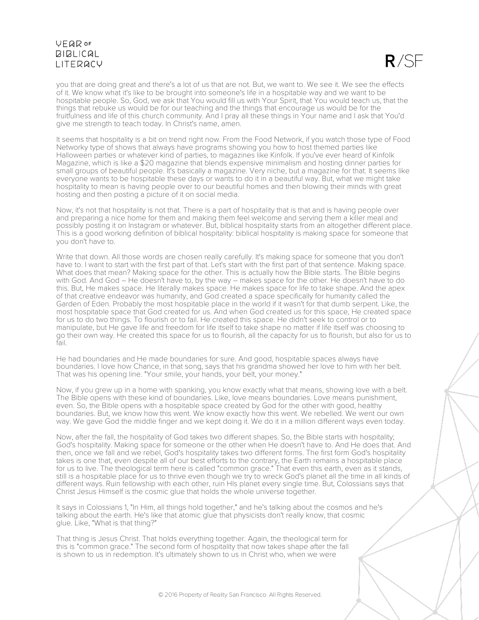

you that are doing great and there's a lot of us that are not. But, we want to. We see it. We see the effects of it. We know what it's like to be brought into someone's life in a hospitable way and we want to be hospitable people. So, God, we ask that You would fill us with Your Spirit, that You would teach us, that the things that rebuke us would be for our teaching and the things that encourage us would be for the fruitfulness and life of this church community. And I pray all these things in Your name and I ask that You'd give me strength to teach today. In Christ's name, amen.

It seems that hospitality is a bit on trend right now. From the Food Network, if you watch those type of Food Networky type of shows that always have programs showing you how to host themed parties like Halloween parties or whatever kind of parties, to magazines like Kinfolk. If you've ever heard of Kinfolk Magazine, which is like a \$20 magazine that blends expensive minimalism and hosting dinner parties for small groups of beautiful people. It's basically a magazine. Very niche, but a magazine for that. It seems like everyone wants to be hospitable these days or wants to do it in a beautiful way. But, what we might take hospitality to mean is having people over to our beautiful homes and then blowing their minds with great hosting and then posting a picture of it on social media.

Now, it's not that hospitality is not that. There is a part of hospitality that is that and is having people over and preparing a nice home for them and making them feel welcome and serving them a killer meal and possibly posting it on Instagram or whatever. But, biblical hospitality starts from an altogether different place. This is a good working definition of biblical hospitality: biblical hospitality is making space for someone that you don't have to.

Write that down. All those words are chosen really carefully. It's making space for someone that you don't have to. I want to start with the first part of that. Let's start with the first part of that sentence. Making space. What does that mean? Making space for the other. This is actually how the Bible starts. The Bible begins with God. And God – He doesn't have to, by the way – makes space for the other. He doesn't have to do this. But, He makes space. He literally makes space. He makes space for life to take shape. And the apex of that creative endeavor was humanity, and God created a space specifically for humanity called the Garden of Eden. Probably the most hospitable place in the world if it wasn't for that dumb serpent. Like, the most hospitable space that God created for us. And when God created us for this space, He created space for us to do two things. To flourish or to fail. He created this space. He didn't seek to control or to manipulate, but He gave life and freedom for life itself to take shape no matter if life itself was choosing to go their own way. He created this space for us to flourish, all the capacity for us to flourish, but also for us to fail.

He had boundaries and He made boundaries for sure. And good, hospitable spaces always have boundaries. I love how Chance, in that song, says that his grandma showed her love to him with her belt. That was his opening line. "Your smile, your hands, your belt, your money."

Now, if you grew up in a home with spanking, you know exactly what that means, showing love with a belt. The Bible opens with these kind of boundaries. Like, love means boundaries. Love means punishment, even. So, the Bible opens with a hospitable space created by God for the other with good, healthy boundaries. But, we know how this went. We know exactly how this went. We rebelled. We went our own way. We gave God the middle finger and we kept doing it. We do it in a million different ways even today.

Now, after the fall, the hospitality of God takes two different shapes. So, the Bible starts with hospitality; God's hospitality. Making space for someone or the other when He doesn't have to. And He does that. And then, once we fall and we rebel, God's hospitality takes two different forms. The first form God's hospitality takes is one that, even despite all of our best efforts to the contrary, the Earth remains a hospitable place for us to live. The theological term here is called "common grace." That even this earth, even as it stands, still is a hospitable place for us to thrive even though we try to wreck God's planet all the time in all kinds of different ways. Ruin fellowship with each other, ruin HIs planet every single time. But, Colossians says that Christ Jesus Himself is the cosmic glue that holds the whole universe together.

It says in Colossians 1, "In Him, all things hold together," and he's talking about the cosmos and he's talking about the earth. He's like that atomic glue that physicists don't really know, that cosmic glue. Like, "What is that thing?"

That thing is Jesus Christ. That holds everything together. Again, the theological term for this is "common grace." The second form of hospitality that now takes shape after the fall is shown to us in redemption. It's ultimately shown to us in Christ who, when we were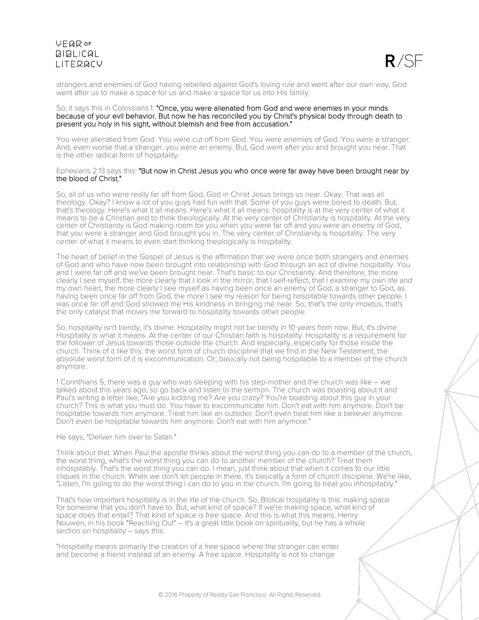

strangers and enemies of God having rebelled against God's loving rule and went after our own way, God went after us to make a space for us and make a space for us into His family.

#### So, it says this in Colossians 1: "Once, you were alienated from God and were enemies in your minds because of your evil behavior. But now he has reconciled you by Christ's physical body through death to present you holy in his sight, without blemish and free from accusation."

You were alienated from God. You were cut off from God. You were enemies of God. You were a stranger. And, even worse that a stranger, you were an enemy. But, God went after you and brought you near. That is the other radical form of hospitality.

#### Ephesians 2:13 says this: "But now in Christ Jesus you who once were far away have been brought near by the blood of Christ."

So, all of us who were really far off from God, God in Christ Jesus brings us near. Okay. That was all theology. Okay? I know a lot of you guys had fun with that. Some of you guys were bored to death. But, that's theology. Here's what it all means. Here's what it all means: hospitality is at the very center of what it means to be a Christian and to think theologically. At the very center of Christianity is hospitality. At the very center of Christianity is God making room for you when you were far off and you were an enemy of God, that you were a stranger and God brought you in. The very center of Christianity is hospitality. The very center of what it means to even start thinking theologically is hospitality.

The heart of belief in the Gospel of Jesus is the affirmation that we were once both strangers and enemies of God and who have now been brought into relationship with God through an act of divine hospitality. You and I were far off and we've been brought near. That's basic to our Christianity. And therefore, the more clearly I see myself, the more clearly that I look in the mirror, that I self-reflect, that I examine my own life and my own heart, the more clearly I see myself as having been once an enemy of God, a stranger to God, as having been once far off from God, the more I see my reason for being hospitable towards other people. I was once far off and God showed me His kindness in bringing me near. So, that's the only impetus, that's the only catalyst that moves me forward to hospitality towards other people.

So, hospitality isn't trendy, it's divine. Hospitality might not be trendy in 10 years from now. But, it's divine. Hospitality is what it means. At the center of our Christian faith is hospitality. Hospitality is a requirement for the follower of Jesus towards those outside the church. And especially, especially for those inside the church. Think of it like this: the worst form of church discipline that we find in the New Testament, the absolute worst form of it is excommunication. Or, basically not being hospitable to a member of the church anymore.

1 Corinthians 5, there was a guy who was sleeping with his step-mother and the church was like – we talked about this years ago, so go back and listen to the sermon. The church was boasting about it and Paul's writing a letter like, "Are you kidding me? Are you crazy? You're boasting about this guy in your church? This is what you must do. You have to excommunicate him. Don't eat with him anymore. Don't be hospitable towards him anymore. Treat him like an outsider. Don't even treat him like a believer anymore. Don't even be hospitable towards him anymore. Don't eat with him anymore."

He says, "Deliver him over to Satan."

Think about that. When Paul the apostle thinks about the worst thing you can do to a member of the church, the worst thing, what's the worst thing you can do to another member of the church? Treat them inhospitably. That's the worst thing you can do. I mean, just think about that when it comes to our little cliques in the church. When we don't let people in there, it's basically a form of church discipline. We're like, "Listen, I'm going to do the worst thing I can do to you in the church. I'm going to treat you inhospitably."

That's how important hospitality is in the life of the church. So, Biblical hospitality is this: making space for someone that you don't have to. But, what kind of space? If we're making space, what kind of space does that entail? That kind of space is free space. And this is what this means. Henry Nouwen, in his book "Reaching Out" – it's a great little book on spirituality, but he has a whole section on hospitality – says this:

"Hospitality means primarily the creation of a free space where the stranger can enter and become a friend instead of an enemy. A free space. Hospitality is not to change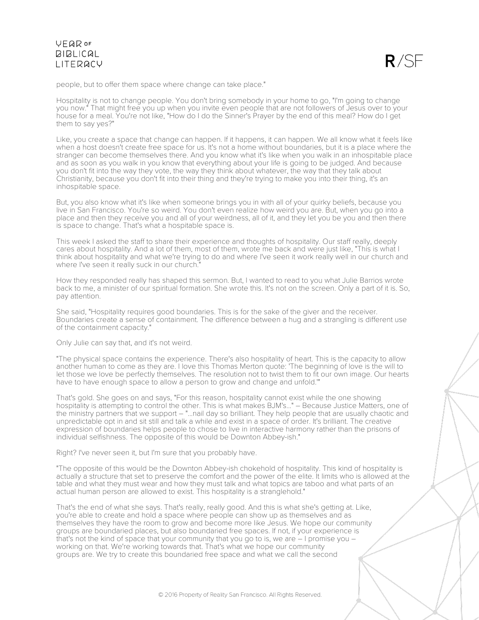

people, but to offer them space where change can take place."

Hospitality is not to change people. You don't bring somebody in your home to go, "I'm going to change you now." That might free you up when you invite even people that are not followers of Jesus over to your house for a meal. You're not like, "How do I do the Sinner's Prayer by the end of this meal? How do I get them to say yes?"

Like, you create a space that change can happen. If it happens, it can happen. We all know what it feels like when a host doesn't create free space for us. It's not a home without boundaries, but it is a place where the stranger can become themselves there. And you know what it's like when you walk in an inhospitable place and as soon as you walk in you know that everything about your life is going to be judged. And because you don't fit into the way they vote, the way they think about whatever, the way that they talk about Christianity, because you don't fit into their thing and they're trying to make you into their thing, it's an inhospitable space.

But, you also know what it's like when someone brings you in with all of your quirky beliefs, because you live in San Francisco. You're so weird. You don't even realize how weird you are. But, when you go into a place and then they receive you and all of your weirdness, all of it, and they let you be you and then there is space to change. That's what a hospitable space is.

This week I asked the staff to share their experience and thoughts of hospitality. Our staff really, deeply cares about hospitality. And a lot of them, most of them, wrote me back and were just like, "This is what I think about hospitality and what we're trying to do and where I've seen it work really well in our church and where I've seen it really suck in our church."

How they responded really has shaped this sermon. But, I wanted to read to you what Julie Barrios wrote back to me, a minister of our spiritual formation. She wrote this. It's not on the screen. Only a part of it is. So, pay attention.

She said, "Hospitality requires good boundaries. This is for the sake of the giver and the receiver. Boundaries create a sense of containment. The difference between a hug and a strangling is different use of the containment capacity."

Only Julie can say that, and it's not weird.

"The physical space contains the experience. There's also hospitality of heart. This is the capacity to allow another human to come as they are. I love this Thomas Merton quote: 'The beginning of love is the will to let those we love be perfectly themselves. The resolution not to twist them to fit our own image. Our hearts have to have enough space to allow a person to grow and change and unfold.'"

That's gold. She goes on and says, "For this reason, hospitality cannot exist while the one showing hospitality is attempting to control the other. This is what makes BJM's..." – Because Justice Matters, one of the ministry partners that we support – "...nail day so brilliant. They help people that are usually chaotic and unpredictable opt in and sit still and talk a while and exist in a space of order. It's brilliant. The creative expression of boundaries helps people to chose to live in interactive harmony rather than the prisons of individual selfishness. The opposite of this would be Downton Abbey-ish."

Right? I've never seen it, but I'm sure that you probably have.

"The opposite of this would be the Downton Abbey-ish chokehold of hospitality. This kind of hospitality is actually a structure that set to preserve the comfort and the power of the elite. It limits who is allowed at the table and what they must wear and how they must talk and what topics are taboo and what parts of an actual human person are allowed to exist. This hospitality is a stranglehold."

That's the end of what she says. That's really, really good. And this is what she's getting at. Like, you're able to create and hold a space where people can show up as themselves and as themselves they have the room to grow and become more like Jesus. We hope our community groups are boundaried places, but also boundaried free spaces. If not, if your experience is that's not the kind of space that your community that you go to is, we are  $-1$  promise you  $$ working on that. We're working towards that. That's what we hope our community groups are. We try to create this boundaried free space and what we call the second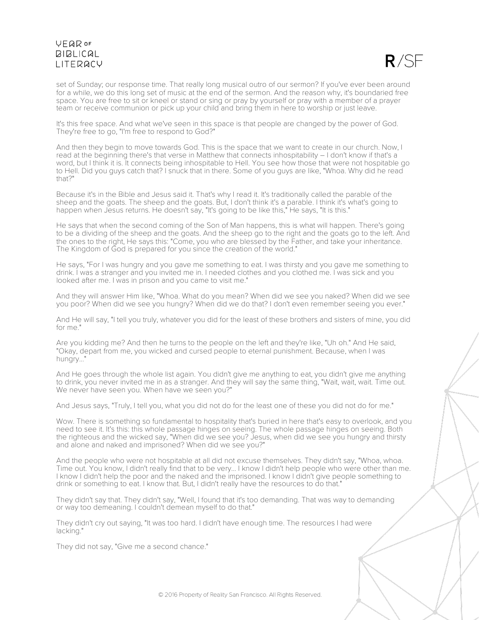

set of Sunday; our response time. That really long musical outro of our sermon? If you've ever been around for a while, we do this long set of music at the end of the sermon. And the reason why, it's boundaried free space. You are free to sit or kneel or stand or sing or pray by yourself or pray with a member of a prayer team or receive communion or pick up your child and bring them in here to worship or just leave.

It's this free space. And what we've seen in this space is that people are changed by the power of God. They're free to go, "I'm free to respond to God?"

And then they begin to move towards God. This is the space that we want to create in our church. Now, I read at the beginning there's that verse in Matthew that connects inhospitability – I don't know if that's a word, but I think it is. It connects being inhospitable to Hell. You see how those that were not hospitable go to Hell. Did you guys catch that? I snuck that in there. Some of you guys are like, "Whoa. Why did he read that?"

Because it's in the Bible and Jesus said it. That's why I read it. It's traditionally called the parable of the sheep and the goats. The sheep and the goats. But, I don't think it's a parable. I think it's what's going to happen when Jesus returns. He doesn't say, "It's going to be like this," He says, "It is this."

He says that when the second coming of the Son of Man happens, this is what will happen. There's going to be a dividing of the sheep and the goats. And the sheep go to the right and the goats go to the left. And the ones to the right, He says this: "Come, you who are blessed by the Father, and take your inheritance. The Kingdom of God is prepared for you since the creation of the world."

He says, "For I was hungry and you gave me something to eat. I was thirsty and you gave me something to drink. I was a stranger and you invited me in. I needed clothes and you clothed me. I was sick and you looked after me. I was in prison and you came to visit me."

And they will answer Him like, "Whoa. What do you mean? When did we see you naked? When did we see you poor? When did we see you hungry? When did we do that? I don't even remember seeing you ever."

And He will say, "I tell you truly, whatever you did for the least of these brothers and sisters of mine, you did for me."

Are you kidding me? And then he turns to the people on the left and they're like, "Uh oh." And He said, "Okay, depart from me, you wicked and cursed people to eternal punishment. Because, when I was hungry..."

And He goes through the whole list again. You didn't give me anything to eat, you didn't give me anything to drink, you never invited me in as a stranger. And they will say the same thing, "Wait, wait, wait. Time out. We never have seen you. When have we seen you?"

And Jesus says, "Truly, I tell you, what you did not do for the least one of these you did not do for me."

Wow. There is something so fundamental to hospitality that's buried in here that's easy to overlook, and you need to see it. It's this: this whole passage hinges on seeing. The whole passage hinges on seeing. Both the righteous and the wicked say, "When did we see you? Jesus, when did we see you hungry and thirsty and alone and naked and imprisoned? When did we see you?"

And the people who were not hospitable at all did not excuse themselves. They didn't say, "Whoa, whoa. Time out. You know, I didn't really find that to be very... I know I didn't help people who were other than me. I know I didn't help the poor and the naked and the imprisoned. I know I didn't give people something to drink or something to eat. I know that. But, I didn't really have the resources to do that."

They didn't say that. They didn't say, "Well, I found that it's too demanding. That was way to demanding or way too demeaning. I couldn't demean myself to do that."

They didn't cry out saying, "It was too hard. I didn't have enough time. The resources I had were lacking."

They did not say, "Give me a second chance."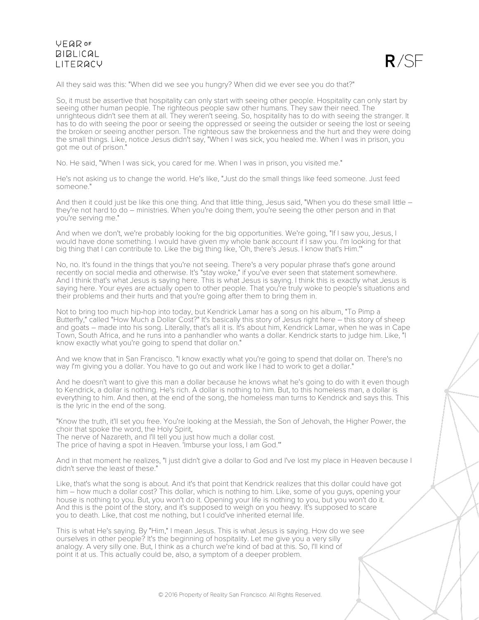

All they said was this: "When did we see you hungry? When did we ever see you do that?"

So, it must be assertive that hospitality can only start with seeing other people. Hospitality can only start by seeing other human people. The righteous people saw other humans. They saw their need. The unrighteous didn't see them at all. They weren't seeing. So, hospitality has to do with seeing the stranger. It has to do with seeing the poor or seeing the oppressed or seeing the outsider or seeing the lost or seeing the broken or seeing another person. The righteous saw the brokenness and the hurt and they were doing the small things. Like, notice Jesus didn't say, "When I was sick, you healed me. When I was in prison, you got me out of prison."

No. He said, "When I was sick, you cared for me. When I was in prison, you visited me."

He's not asking us to change the world. He's like, "Just do the small things like feed someone. Just feed someone."

And then it could just be like this one thing. And that little thing, Jesus said, "When you do these small little – they're not hard to do – ministries. When you're doing them, you're seeing the other person and in that you're serving me."

And when we don't, we're probably looking for the big opportunities. We're going, "If I saw you, Jesus, I would have done something. I would have given my whole bank account if I saw you. I'm looking for that big thing that I can contribute to. Like the big thing like, 'Oh, there's Jesus. I know that's Him.'"

No, no. It's found in the things that you're not seeing. There's a very popular phrase that's gone around recently on social media and otherwise. It's "stay woke," if you've ever seen that statement somewhere. And I think that's what Jesus is saying here. This is what Jesus is saying. I think this is exactly what Jesus is saying here. Your eyes are actually open to other people. That you're truly woke to people's situations and their problems and their hurts and that you're going after them to bring them in.

Not to bring too much hip-hop into today, but Kendrick Lamar has a song on his album, "To Pimp a Butterfly," called "How Much a Dollar Cost?" It's basically this story of Jesus right here – this story of sheep and goats – made into his song. Literally, that's all it is. It's about him, Kendrick Lamar, when he was in Cape Town, South Africa, and he runs into a panhandler who wants a dollar. Kendrick starts to judge him. Like, "I know exactly what you're going to spend that dollar on."

And we know that in San Francisco. "I know exactly what you're going to spend that dollar on. There's no way I'm giving you a dollar. You have to go out and work like I had to work to get a dollar."

And he doesn't want to give this man a dollar because he knows what he's going to do with it even though to Kendrick, a dollar is nothing. He's rich. A dollar is nothing to him. But, to this homeless man, a dollar is everything to him. And then, at the end of the song, the homeless man turns to Kendrick and says this. This is the lyric in the end of the song.

"Know the truth, it'll set you free. You're looking at the Messiah, the Son of Jehovah, the Higher Power, the choir that spoke the word, the Holy Spirit,

The nerve of Nazareth, and I'll tell you just how much a dollar cost.

The price of having a spot in Heaven. 'Imburse your loss, I am God.'"

And in that moment he realizes, "I just didn't give a dollar to God and I've lost my place in Heaven because I didn't serve the least of these."

Like, that's what the song is about. And it's that point that Kendrick realizes that this dollar could have got him – how much a dollar cost? This dollar, which is nothing to him. Like, some of you guys, opening your house is nothing to you. But, you won't do it. Opening your life is nothing to you, but you won't do it. And this is the point of the story, and it's supposed to weigh on you heavy. It's supposed to scare you to death. Like, that cost me nothing, but I could've inherited eternal life.

This is what He's saying. By "Him," I mean Jesus. This is what Jesus is saying. How do we see ourselves in other people? It's the beginning of hospitality. Let me give you a very silly analogy. A very silly one. But, I think as a church we're kind of bad at this. So, I'll kind of point it at us. This actually could be, also, a symptom of a deeper problem.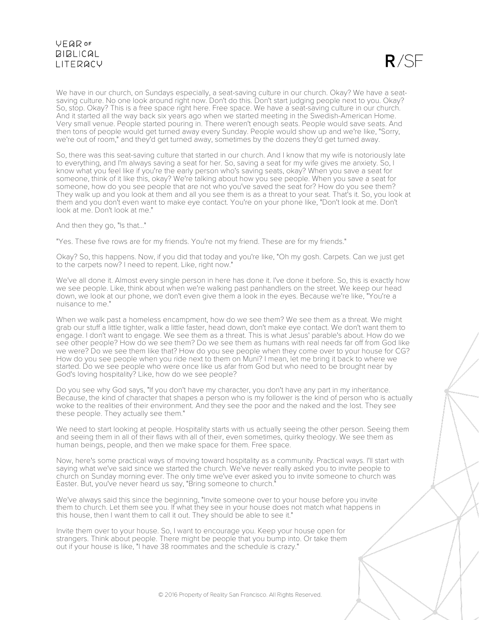$R/SF$ 

We have in our church, on Sundays especially, a seat-saving culture in our church. Okay? We have a seatsaving culture. No one look around right now. Don't do this. Don't start judging people next to you. Okay? So, stop. Okay? This is a free space right here. Free space. We have a seat-saving culture in our church. And it started all the way back six years ago when we started meeting in the Swedish-American Home. Very small venue. People started pouring in. There weren't enough seats. People would save seats. And then tons of people would get turned away every Sunday. People would show up and we're like, "Sorry, we're out of room," and they'd get turned away, sometimes by the dozens they'd get turned away.

So, there was this seat-saving culture that started in our church. And I know that my wife is notoriously late to everything, and I'm always saving a seat for her. So, saving a seat for my wife gives me anxiety. So, I know what you feel like if you're the early person who's saving seats, okay? When you save a seat for someone, think of it like this, okay? We're talking about how you see people. When you save a seat for someone, how do you see people that are not who you've saved the seat for? How do you see them? They walk up and you look at them and all you see them is as a threat to your seat. That's it. So, you look at them and you don't even want to make eye contact. You're on your phone like, "Don't look at me. Don't look at me. Don't look at me."

And then they go, "Is that..."

"Yes. These five rows are for my friends. You're not my friend. These are for my friends."

Okay? So, this happens. Now, if you did that today and you're like, "Oh my gosh. Carpets. Can we just get to the carpets now? I need to repent. Like, right now."

We've all done it. Almost every single person in here has done it. I've done it before. So, this is exactly how we see people. Like, think about when we're walking past panhandlers on the street. We keep our head down, we look at our phone, we don't even give them a look in the eyes. Because we're like, "You're a nuisance to me."

When we walk past a homeless encampment, how do we see them? We see them as a threat. We might grab our stuff a little tighter, walk a little faster, head down, don't make eye contact. We don't want them to engage. I don't want to engage. We see them as a threat. This is what Jesus' parable's about. How do we see other people? How do we see them? Do we see them as humans with real needs far off from God like we were? Do we see them like that? How do you see people when they come over to your house for CG? How do you see people when you ride next to them on Muni? I mean, let me bring it back to where we started. Do we see people who were once like us afar from God but who need to be brought near by God's loving hospitality? Like, how do we see people?

Do you see why God says, "If you don't have my character, you don't have any part in my inheritance. Because, the kind of character that shapes a person who is my follower is the kind of person who is actually woke to the realities of their environment. And they see the poor and the naked and the lost. They see these people. They actually see them."

We need to start looking at people. Hospitality starts with us actually seeing the other person. Seeing them and seeing them in all of their flaws with all of their, even sometimes, quirky theology. We see them as human beings, people, and then we make space for them. Free space.

Now, here's some practical ways of moving toward hospitality as a community. Practical ways. I'll start with saying what we've said since we started the church. We've never really asked you to invite people to church on Sunday morning ever. The only time we've ever asked you to invite someone to church was Easter. But, you've never heard us say, "Bring someone to church."

We've always said this since the beginning, "Invite someone over to your house before you invite them to church. Let them see you. If what they see in your house does not match what happens in this house, then I want them to call it out. They should be able to see it."

Invite them over to your house. So, I want to encourage you. Keep your house open for strangers. Think about people. There might be people that you bump into. Or take them out if your house is like, "I have 38 roommates and the schedule is crazy."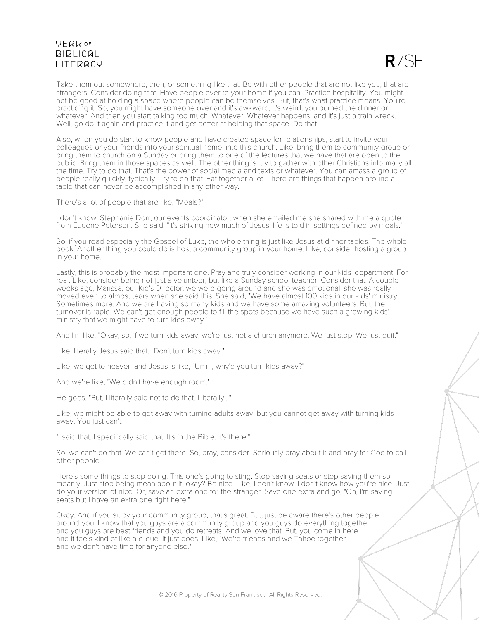$R/SF$ 

Take them out somewhere, then, or something like that. Be with other people that are not like you, that are strangers. Consider doing that. Have people over to your home if you can. Practice hospitality. You might not be good at holding a space where people can be themselves. But, that's what practice means. You're practicing it. So, you might have someone over and it's awkward, it's weird, you burned the dinner or whatever. And then you start talking too much. Whatever. Whatever happens, and it's just a train wreck. Well, go do it again and practice it and get better at holding that space. Do that.

Also, when you do start to know people and have created space for relationships, start to invite your colleagues or your friends into your spiritual home, into this church. Like, bring them to community group or bring them to church on a Sunday or bring them to one of the lectures that we have that are open to the public. Bring them in those spaces as well. The other thing is: try to gather with other Christians informally all the time. Try to do that. That's the power of social media and texts or whatever. You can amass a group of people really quickly, typically. Try to do that. Eat together a lot. There are things that happen around a table that can never be accomplished in any other way.

There's a lot of people that are like, "Meals?"

I don't know. Stephanie Dorr, our events coordinator, when she emailed me she shared with me a quote from Eugene Peterson. She said, "It's striking how much of Jesus' life is told in settings defined by meals."

So, if you read especially the Gospel of Luke, the whole thing is just like Jesus at dinner tables. The whole book. Another thing you could do is host a community group in your home. Like, consider hosting a group in your home.

Lastly, this is probably the most important one. Pray and truly consider working in our kids' department. For real. Like, consider being not just a volunteer, but like a Sunday school teacher. Consider that. A couple weeks ago, Marissa, our Kid's Director, we were going around and she was emotional, she was really moved even to almost tears when she said this. She said, "We have almost 100 kids in our kids' ministry. Sometimes more. And we are having so many kids and we have some amazing volunteers. But, the turnover is rapid. We can't get enough people to fill the spots because we have such a growing kids' ministry that we might have to turn kids away."

And I'm like, "Okay, so, if we turn kids away, we're just not a church anymore. We just stop. We just quit."

Like, literally Jesus said that. "Don't turn kids away."

Like, we get to heaven and Jesus is like, "Umm, why'd you turn kids away?"

And we're like, "We didn't have enough room."

He goes, "But, I literally said not to do that. I literally..."

Like, we might be able to get away with turning adults away, but you cannot get away with turning kids away. You just can't.

"I said that. I specifically said that. It's in the Bible. It's there."

So, we can't do that. We can't get there. So, pray, consider. Seriously pray about it and pray for God to call other people.

Here's some things to stop doing. This one's going to sting. Stop saving seats or stop saving them so meanly. Just stop being mean about it, okay? Be nice. Like, I don't know. I don't know how you're nice. Just do your version of nice. Or, save an extra one for the stranger. Save one extra and go, "Oh, I'm saving seats but I have an extra one right here."

Okay. And if you sit by your community group, that's great. But, just be aware there's other people around you. I know that you guys are a community group and you guys do everything together and you guys are best friends and you do retreats. And we love that. But, you come in here and it feels kind of like a clique. It just does. Like, "We're friends and we Tahoe together and we don't have time for anyone else."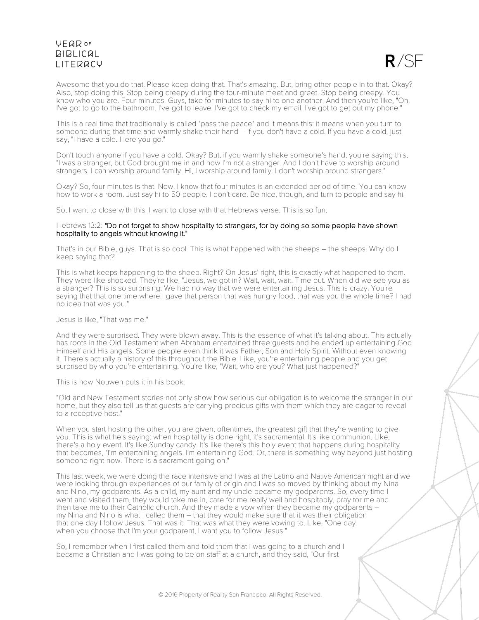

Awesome that you do that. Please keep doing that. That's amazing. But, bring other people in to that. Okay? Also, stop doing this. Stop being creepy during the four-minute meet and greet. Stop being creepy. You know who you are. Four minutes. Guys, take for minutes to say hi to one another. And then you're like, "Oh, I've got to go to the bathroom. I've got to leave. I've got to check my email. I've got to get out my phone."

This is a real time that traditionally is called "pass the peace" and it means this: it means when you turn to someone during that time and warmly shake their hand – if you don't have a cold. If you have a cold, just say, "I have a cold. Here you go."

Don't touch anyone if you have a cold. Okay? But, if you warmly shake someone's hand, you're saying this, "I was a stranger, but God brought me in and now I'm not a stranger. And I don't have to worship around strangers. I can worship around family. Hi, I worship around family. I don't worship around strangers."

Okay? So, four minutes is that. Now, I know that four minutes is an extended period of time. You can know how to work a room. Just say hi to 50 people. I don't care. Be nice, though, and turn to people and say hi.

So, I want to close with this. I want to close with that Hebrews verse. This is so fun.

#### Hebrews 13:2: "Do not forget to show hospitality to strangers, for by doing so some people have shown hospitality to angels without knowing it."

That's in our Bible, guys. That is so cool. This is what happened with the sheeps – the sheeps. Why do I keep saying that?

This is what keeps happening to the sheep. Right? On Jesus' right, this is exactly what happened to them. They were like shocked. They're like, "Jesus, we got in? Wait, wait, wait. Time out. When did we see you as a stranger? This is so surprising. We had no way that we were entertaining Jesus. This is crazy. You're saying that that one time where I gave that person that was hungry food, that was you the whole time? I had no idea that was you."

#### Jesus is like, "That was me."

And they were surprised. They were blown away. This is the essence of what it's talking about. This actually has roots in the Old Testament when Abraham entertained three guests and he ended up entertaining God Himself and His angels. Some people even think it was Father, Son and Holy Spirit. Without even knowing it. There's actually a history of this throughout the Bible. Like, you're entertaining people and you get surprised by who you're entertaining. You're like, "Wait, who are you? What just happened?"

#### This is how Nouwen puts it in his book:

"Old and New Testament stories not only show how serious our obligation is to welcome the stranger in our home, but they also tell us that guests are carrying precious gifts with them which they are eager to reveal to a receptive host."

When you start hosting the other, you are given, oftentimes, the greatest gift that they're wanting to give you. This is what he's saying: when hospitality is done right, it's sacramental. It's like communion. Like, there's a holy event. It's like Sunday candy. It's like there's this holy event that happens during hospitality that becomes, "I'm entertaining angels. I'm entertaining God. Or, there is something way beyond just hosting someone right now. There is a sacrament going on."

This last week, we were doing the race intensive and I was at the Latino and Native American night and we were looking through experiences of our family of origin and I was so moved by thinking about my Nina and Nino, my godparents. As a child, my aunt and my uncle became my godparents. So, every time I went and visited them, they would take me in, care for me really well and hospitably, pray for me and then take me to their Catholic church. And they made a vow when they became my godparents – my Nina and Nino is what I called them – that they would make sure that it was their obligation that one day I follow Jesus. That was it. That was what they were vowing to. Like, "One day when you choose that I'm your godparent, I want you to follow Jesus."

So, I remember when I first called them and told them that I was going to a church and I became a Christian and I was going to be on staff at a church, and they said, "Our first